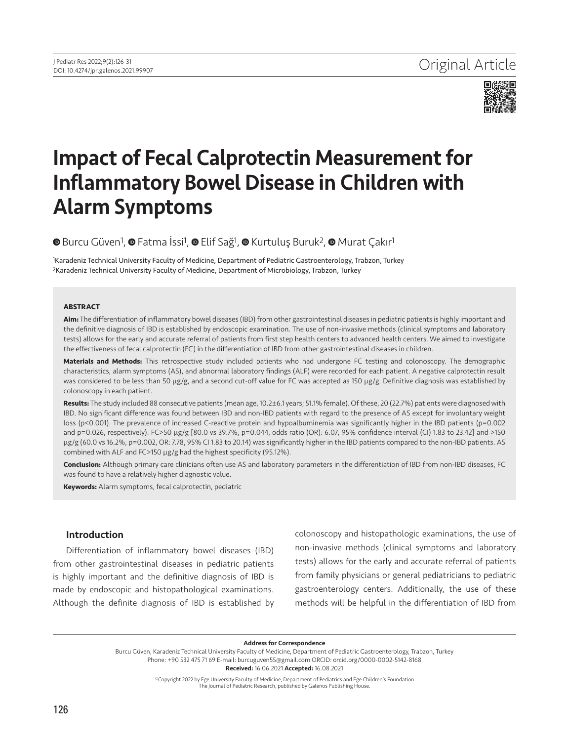

# Impact of Fecal Calprotectin Measurement for Inflammatory Bowel Disease in Children with Alarm Symptoms

# **©**Burcu Güven<sup>1</sup>, **©** Fatma İssi<sup>1</sup>, **©** Elif Sağ<sup>1</sup>, **©** Kurtuluş Buruk<sup>2</sup>, **©** Murat Çakır<sup>1</sup>

1Karadeniz Technical University Faculty of Medicine, Department of Pediatric Gastroenterology, Trabzon, Turkey 2Karadeniz Technical University Faculty of Medicine, Department of Microbiology, Trabzon, Turkey

#### **ABSTRACT**

**Aim:** The differentiation of inflammatory bowel diseases (IBD) from other gastrointestinal diseases in pediatric patients is highly important and the definitive diagnosis of IBD is established by endoscopic examination. The use of non-invasive methods (clinical symptoms and laboratory tests) allows for the early and accurate referral of patients from first step health centers to advanced health centers. We aimed to investigate the effectiveness of fecal calprotectin (FC) in the differentiation of IBD from other gastrointestinal diseases in children.

**Materials and Methods:** This retrospective study included patients who had undergone FC testing and colonoscopy. The demographic characteristics, alarm symptoms (AS), and abnormal laboratory findings (ALF) were recorded for each patient. A negative calprotectin result was considered to be less than 50 μg/g, and a second cut-off value for FC was accepted as 150 μg/g. Definitive diagnosis was established by colonoscopy in each patient.

**Results:** The study included 88 consecutive patients (mean age, 10.2±6.1 years; 51.1% female). Of these, 20 (22.7%) patients were diagnosed with IBD. No significant difference was found between IBD and non-IBD patients with regard to the presence of AS except for involuntary weight loss (p<0.001). The prevalence of increased C-reactive protein and hypoalbuminemia was significantly higher in the IBD patients (p=0.002 and p=0.026, respectively). FC>50 µg/g [80.0 vs 39.7%, p=0.044, odds ratio (OR): 6.07, 95% confidence interval (CI) 1.83 to 23.42] and >150 µg/g (60.0 vs 16.2%, p=0.002, OR: 7.78, 95% CI 1.83 to 20.14) was significantly higher in the IBD patients compared to the non-IBD patients. AS combined with ALF and FC>150 µg/g had the highest specificity (95.12%).

**Conclusion:** Although primary care clinicians often use AS and laboratory parameters in the differentiation of IBD from non-IBD diseases, FC was found to have a relatively higher diagnostic value.

**Keywords:** Alarm symptoms, fecal calprotectin, pediatric

#### Introduction

Differentiation of inflammatory bowel diseases (IBD) from other gastrointestinal diseases in pediatric patients is highly important and the definitive diagnosis of IBD is made by endoscopic and histopathological examinations. Although the definite diagnosis of IBD is established by colonoscopy and histopathologic examinations, the use of non-invasive methods (clinical symptoms and laboratory tests) allows for the early and accurate referral of patients from family physicians or general pediatricians to pediatric gastroenterology centers. Additionally, the use of these methods will be helpful in the differentiation of IBD from

Address for Correspondence

Burcu Güven, Karadeniz Technical University Faculty of Medicine, Department of Pediatric Gastroenterology, Trabzon, Turkey Phone: +90 532 475 71 69 E-mail: burcuguven55@gmail.com ORCID: orcid.org/0000-0002-5142-8168 Received: 16.06.2021 Accepted: 16.08.2021

> ©Copyright 2022 by Ege University Faculty of Medicine, Department of Pediatrics and Ege Children's Foundation The Journal of Pediatric Research, published by Galenos Publishing House.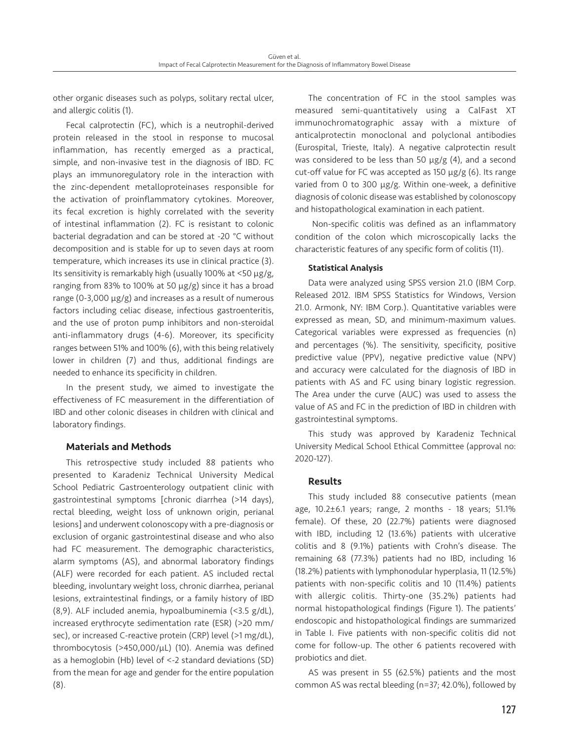other organic diseases such as polyps, solitary rectal ulcer, and allergic colitis (1).

Fecal calprotectin (FC), which is a neutrophil-derived protein released in the stool in response to mucosal inflammation, has recently emerged as a practical, simple, and non-invasive test in the diagnosis of IBD. FC plays an immunoregulatory role in the interaction with the zinc-dependent metalloproteinases responsible for the activation of proinflammatory cytokines. Moreover, its fecal excretion is highly correlated with the severity of intestinal inflammation (2). FC is resistant to colonic bacterial degradation and can be stored at -20 °C without decomposition and is stable for up to seven days at room temperature, which increases its use in clinical practice (3). Its sensitivity is remarkably high (usually 100% at <50 µg/g, ranging from 83% to 100% at 50 µg/g) since it has a broad range (0-3,000  $\mu$ g/g) and increases as a result of numerous factors including celiac disease, infectious gastroenteritis, and the use of proton pump inhibitors and non-steroidal anti-inflammatory drugs (4-6). Moreover, its specificity ranges between 51% and 100% (6), with this being relatively lower in children (7) and thus, additional findings are needed to enhance its specificity in children.

In the present study, we aimed to investigate the effectiveness of FC measurement in the differentiation of IBD and other colonic diseases in children with clinical and laboratory findings.

#### Materials and Methods

This retrospective study included 88 patients who presented to Karadeniz Technical University Medical School Pediatric Gastroenterology outpatient clinic with gastrointestinal symptoms [chronic diarrhea (>14 days), rectal bleeding, weight loss of unknown origin, perianal lesions] and underwent colonoscopy with a pre-diagnosis or exclusion of organic gastrointestinal disease and who also had FC measurement. The demographic characteristics, alarm symptoms (AS), and abnormal laboratory findings (ALF) were recorded for each patient. AS included rectal bleeding, involuntary weight loss, chronic diarrhea, perianal lesions, extraintestinal findings, or a family history of IBD (8,9). ALF included anemia, hypoalbuminemia (<3.5 g/dL), increased erythrocyte sedimentation rate (ESR) (>20 mm/ sec), or increased C-reactive protein (CRP) level (>1 mg/dL), thrombocytosis (>450,000/µL) (10). Anemia was defined as a hemoglobin (Hb) level of <-2 standard deviations (SD) from the mean for age and gender for the entire population (8).

The concentration of FC in the stool samples was measured semi-quantitatively using a CalFast XT immunochromatographic assay with a mixture of anticalprotectin monoclonal and polyclonal antibodies (Eurospital, Trieste, Italy). A negative calprotectin result was considered to be less than 50  $\mu$ g/g (4), and a second cut-off value for FC was accepted as 150 µg/g (6). Its range varied from 0 to 300 μg/g. Within one-week, a definitive diagnosis of colonic disease was established by colonoscopy and histopathological examination in each patient.

 Non-specific colitis was defined as an inflammatory condition of the colon which microscopically lacks the characteristic features of any specific form of colitis (11).

### Statistical Analysis

Data were analyzed using SPSS version 21.0 (IBM Corp. Released 2012. IBM SPSS Statistics for Windows, Version 21.0. Armonk, NY: IBM Corp.). Quantitative variables were expressed as mean, SD, and minimum-maximum values. Categorical variables were expressed as frequencies (n) and percentages (%). The sensitivity, specificity, positive predictive value (PPV), negative predictive value (NPV) and accuracy were calculated for the diagnosis of IBD in patients with AS and FC using binary logistic regression. The Area under the curve (AUC) was used to assess the value of AS and FC in the prediction of IBD in children with gastrointestinal symptoms.

This study was approved by Karadeniz Technical University Medical School Ethical Committee (approval no: 2020-127).

# Results

This study included 88 consecutive patients (mean age, 10.2±6.1 years; range, 2 months - 18 years; 51.1% female). Of these, 20 (22.7%) patients were diagnosed with IBD, including 12 (13.6%) patients with ulcerative colitis and 8 (9.1%) patients with Crohn's disease. The remaining 68 (77.3%) patients had no IBD, including 16 (18.2%) patients with lymphonodular hyperplasia, 11 (12.5%) patients with non-specific colitis and 10 (11.4%) patients with allergic colitis. Thirty-one (35.2%) patients had normal histopathological findings (Figure 1). The patients' endoscopic and histopathological findings are summarized in Table I. Five patients with non-specific colitis did not come for follow-up. The other 6 patients recovered with probiotics and diet.

AS was present in 55 (62.5%) patients and the most common AS was rectal bleeding (n=37; 42.0%), followed by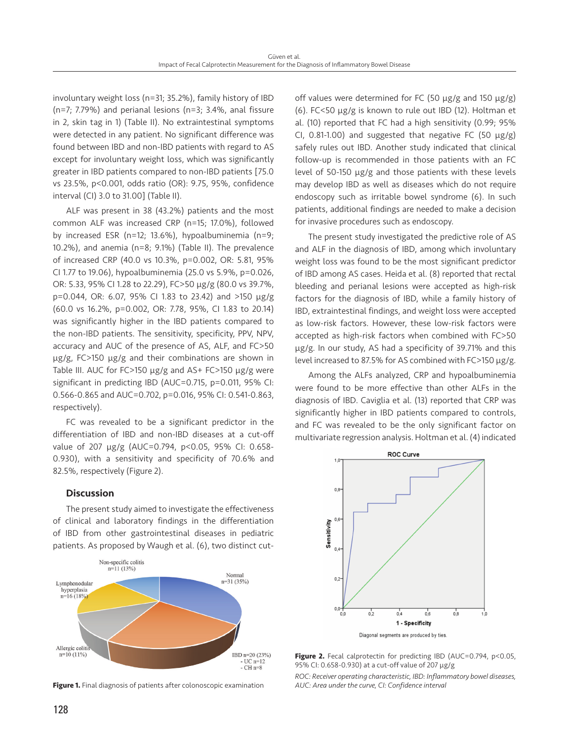involuntary weight loss (n=31; 35.2%), family history of IBD (n=7; 7.79%) and perianal lesions (n=3; 3.4%, anal fissure in 2, skin tag in 1) (Table II). No extraintestinal symptoms were detected in any patient. No significant difference was found between IBD and non-IBD patients with regard to AS except for involuntary weight loss, which was significantly greater in IBD patients compared to non-IBD patients [75.0 vs 23.5%, p<0.001, odds ratio (OR): 9.75, 95%, confidence interval (CI) 3.0 to 31.00] (Table II).

ALF was present in 38 (43.2%) patients and the most common ALF was increased CRP (n=15; 17.0%), followed by increased ESR (n=12; 13.6%), hypoalbuminemia (n=9; 10.2%), and anemia (n=8; 9.1%) (Table II). The prevalence of increased CRP (40.0 vs 10.3%, p=0.002, OR: 5.81, 95% CI 1.77 to 19.06), hypoalbuminemia (25.0 vs 5.9%, p=0.026, OR: 5.33, 95% CI 1.28 to 22.29), FC>50 µg/g (80.0 vs 39.7%, p=0.044, OR: 6.07, 95% CI 1.83 to 23.42) and >150 µg/g (60.0 vs 16.2%, p=0.002, OR: 7.78, 95%, CI 1.83 to 20.14) was significantly higher in the IBD patients compared to the non-IBD patients. The sensitivity, specificity, PPV, NPV, accuracy and AUC of the presence of AS, ALF, and FC>50 µg/g, FC>150 µg/g and their combinations are shown in Table III. AUC for FC>150 µg/g and AS+ FC>150 µg/g were significant in predicting IBD (AUC=0.715, p=0.011, 95% CI: 0.566-0.865 and AUC=0.702, p=0.016, 95% CI: 0.541-0.863, respectively).

FC was revealed to be a significant predictor in the differentiation of IBD and non-IBD diseases at a cut-off value of 207 µg/g (AUC=0.794, p<0.05, 95% CI: 0.658- 0.930), with a sensitivity and specificity of 70.6% and 82.5%, respectively (Figure 2).

#### **Discussion**

The present study aimed to investigate the effectiveness of clinical and laboratory findings in the differentiation of IBD from other gastrointestinal diseases in pediatric patients. As proposed by Waugh et al. (6), two distinct cut-



**Figure 1.** Final diagnosis of patients after colonoscopic examination

off values were determined for FC (50 µg/g and 150 µg/g) (6). FC<50 µg/g is known to rule out IBD (12). Holtman et al. (10) reported that FC had a high sensitivity (0.99; 95% CI, 0.81-1.00) and suggested that negative FC (50  $\mu$ g/g) safely rules out IBD. Another study indicated that clinical follow-up is recommended in those patients with an FC level of 50-150 µg/g and those patients with these levels may develop IBD as well as diseases which do not require endoscopy such as irritable bowel syndrome (6). In such patients, additional findings are needed to make a decision for invasive procedures such as endoscopy.

The present study investigated the predictive role of AS and ALF in the diagnosis of IBD, among which involuntary weight loss was found to be the most significant predictor of IBD among AS cases. Heida et al. (8) reported that rectal bleeding and perianal lesions were accepted as high-risk factors for the diagnosis of IBD, while a family history of IBD, extraintestinal findings, and weight loss were accepted as low-risk factors. However, these low-risk factors were accepted as high-risk factors when combined with FC>50 µg/g. In our study, AS had a specificity of 39.71% and this level increased to 87.5% for AS combined with FC>150 µg/g.

Among the ALFs analyzed, CRP and hypoalbuminemia were found to be more effective than other ALFs in the diagnosis of IBD. Caviglia et al. (13) reported that CRP was significantly higher in IBD patients compared to controls, and FC was revealed to be the only significant factor on multivariate regression analysis. Holtman et al. (4) indicated



Figure 2. Fecal calprotectin for predicting IBD (AUC=0.794, p<0.05, 95% CI: 0.658-0.930) at a cut-off value of 207 µg/g

*ROC: Receiver operating characteristic, IBD: Inflammatory bowel diseases, AUC: Area under the curve, CI: Confidence interval*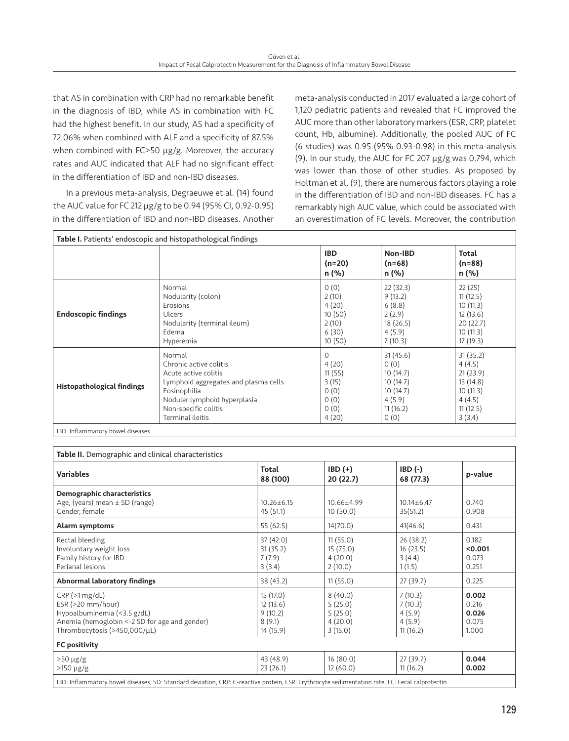that AS in combination with CRP had no remarkable benefit in the diagnosis of IBD, while AS in combination with FC had the highest benefit. In our study, AS had a specificity of 72.06% when combined with ALF and a specificity of 87.5% when combined with FC>50 µg/g. Moreover, the accuracy rates and AUC indicated that ALF had no significant effect in the differentiation of IBD and non-IBD diseases.

In a previous meta-analysis, Degraeuwe et al. (14) found the AUC value for FC 212 µg/g to be 0.94 (95% CI, 0.92-0.95) in the differentiation of IBD and non-IBD diseases. Another meta-analysis conducted in 2017 evaluated a large cohort of 1,120 pediatric patients and revealed that FC improved the AUC more than other laboratory markers (ESR, CRP, platelet count, Hb, albumine). Additionally, the pooled AUC of FC (6 studies) was 0.95 (95% 0.93-0.98) in this meta-analysis (9). In our study, the AUC for FC 207 µg/g was 0.794, which was lower than those of other studies. As proposed by Holtman et al. (9), there are numerous factors playing a role in the differentiation of IBD and non-IBD diseases. FC has a remarkably high AUC value, which could be associated with an overestimation of FC levels. Moreover, the contribution

| Table I. Patients' endoscopic and histopathological findings |                                      |                                 |                              |                            |  |  |
|--------------------------------------------------------------|--------------------------------------|---------------------------------|------------------------------|----------------------------|--|--|
|                                                              |                                      | <b>IBD</b><br>$(n=20)$<br>n (%) | Non-IBD<br>$(n=68)$<br>n (%) | Total<br>$(n=88)$<br>n (%) |  |  |
| <b>Endoscopic findings</b>                                   | Normal                               | 0(0)                            | 22(32.3)                     | 22(25)                     |  |  |
|                                                              | Nodularity (colon)                   | 2(10)                           | 9(13.2)                      | 11(12.5)                   |  |  |
|                                                              | Erosions                             | 4(20)                           | 6(8.8)                       | 10(11.3)                   |  |  |
|                                                              | Ulcers                               | 10(50)                          | 2(2.9)                       | 12(13.6)                   |  |  |
|                                                              | Nodularity (terminal ileum)          | 2(10)                           | 18(26.5)                     | 20(22.7)                   |  |  |
|                                                              | Edema                                | 6(30)                           | 4(5.9)                       | 10(11.3)                   |  |  |
|                                                              | Hyperemia                            | 10(50)                          | 7(10.3)                      | 17(19.3)                   |  |  |
| <b>Histopathological findings</b>                            | Normal                               | $\Omega$                        | 31(45.6)                     | 31(35.2)                   |  |  |
|                                                              | Chronic active colitis               | 4(20)                           | 0(0)                         | 4(4.5)                     |  |  |
|                                                              | Acute active colitis                 | 11(55)                          | 10(14.7)                     | 21(23.9)                   |  |  |
|                                                              | Lymphoid aggregates and plasma cells | 3(15)                           | 10(14.7)                     | 13(14.8)                   |  |  |
|                                                              | Eosinophilia                         | 0(0)                            | 10(14.7)                     | 10(11.3)                   |  |  |
|                                                              | Noduler lymphoid hyperplasia         | 0(0)                            | 4(5.9)                       | 4(4.5)                     |  |  |
|                                                              | Non-specific colitis                 | O(0)                            | 11(16.2)                     | 11(12.5)                   |  |  |
|                                                              | Terminal ileitis                     | 4(20)                           | 0(0)                         | 3(3.4)                     |  |  |

IBD: Inflammatory bowel diseases

| Table II. Demographic and clinical characteristics                                                                                                      |                                                         |                                                     |                                                    |                                           |  |  |  |  |
|---------------------------------------------------------------------------------------------------------------------------------------------------------|---------------------------------------------------------|-----------------------------------------------------|----------------------------------------------------|-------------------------------------------|--|--|--|--|
| <b>Variables</b>                                                                                                                                        | Total<br>88 (100)                                       | $IBD (+)$<br>20 (22.7)                              | $IBD(-)$<br>68 (77.3)                              | p-value                                   |  |  |  |  |
| Demographic characteristics<br>Age, (years) mean $\pm$ SD (range)<br>Gender, female                                                                     | $10.26 \pm 6.15$<br>45(51.1)                            | 10.66±4.99<br>10(50.0)                              | $10.14 \pm 6.47$<br>35(51.2)                       | 0.740<br>0.908                            |  |  |  |  |
| Alarm symptoms                                                                                                                                          | 55(62.5)                                                | 14(70.0)                                            | 41(46.6)                                           | 0.431                                     |  |  |  |  |
| Rectal bleeding<br>Involuntary weight loss<br>Family history for IBD<br>Perianal lesions                                                                | 37 (42.0)<br>31(35.2)<br>7(7.9)<br>3(3.4)               | 11(55.0)<br>15(75.0)<br>4(20.0)<br>2(10.0)          | 26 (38.2)<br>16(23.5)<br>3(4.4)<br>1(1.5)          | 0.182<br>< 0.001<br>0.073<br>0.251        |  |  |  |  |
| <b>Abnormal laboratory findings</b>                                                                                                                     | 38 (43.2)                                               | 11(55.0)                                            | 27(39.7)                                           | 0.225                                     |  |  |  |  |
| CRP(>1 mg/dL)<br>$ESR$ ( $>20$ mm/hour)<br>Hypoalbuminemia (<3.5 g/dL)<br>Anemia (hemoglobin <-2 SD for age and gender)<br>Thrombocytosis (>450,000/µL) | 15 (17.0)<br>12(13.6)<br>9(10.2)<br>8(9.1)<br>14 (15.9) | 8(40.0)<br>5(25.0)<br>5(25.0)<br>4(20.0)<br>3(15.0) | 7(10.3)<br>7(10.3)<br>4(5.9)<br>4(5.9)<br>11(16.2) | 0.002<br>0.216<br>0.026<br>0.075<br>1.000 |  |  |  |  |
| FC positivity                                                                                                                                           |                                                         |                                                     |                                                    |                                           |  |  |  |  |
| $>50 \mu g/g$<br>$>150 \mu g/g$                                                                                                                         | 43 (48.9)<br>23(26.1)                                   | 16(80.0)<br>12(60.0)                                | 27(39.7)<br>11(16.2)                               | 0.044<br>0.002                            |  |  |  |  |
| IBD: Inflammatory bowel diseases, SD: Standard deviation, CRP: C-reactive protein, ESR: Erythrocyte sedimentation rate, FC: Fecal calprotectin          |                                                         |                                                     |                                                    |                                           |  |  |  |  |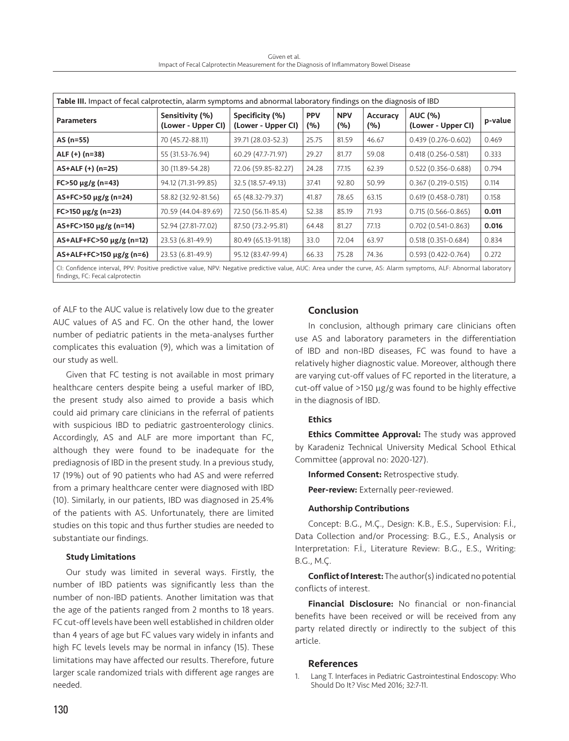Güven et al. Impact of Fecal Calprotectin Measurement for the Diagnosis of Inflammatory Bowel Disease

|                               |                                       | Table III. Impact of fecal calprotectin, alarm symptoms and abnormal laboratory findings on the diagnosis of IBD |            |                   |                 |                                      |         |
|-------------------------------|---------------------------------------|------------------------------------------------------------------------------------------------------------------|------------|-------------------|-----------------|--------------------------------------|---------|
| <b>Parameters</b>             | Sensitivity (%)<br>(Lower - Upper CI) | Specificity (%)<br>(Lower - Upper CI)                                                                            | <b>PPV</b> | <b>NPV</b><br>(%) | <b>Accuracy</b> | <b>AUC (%)</b><br>(Lower - Upper CI) | p-value |
|                               |                                       |                                                                                                                  | (%)        |                   | (%)             |                                      |         |
| AS (n=55)                     | 70 (45.72-88.11)                      | 39.71 (28.03-52.3)                                                                                               | 25.75      | 81.59             | 46.67           | $0.439(0.276 - 0.602)$               | 0.469   |
| ALF (+) (n=38)                | 55 (31.53-76.94)                      | 60.29 (47.7-71.97)                                                                                               | 29.27      | 81.77             | 59.08           | $0.418(0.256 - 0.581)$               | 0.333   |
| AS+ALF (+) (n=25)             | 30 (11.89-54.28)                      | 72.06 (59.85-82.27)                                                                                              | 24.28      | 77.15             | 62.39           | $0.522(0.356 - 0.688)$               | 0.794   |
| $FC > 50 \mu g/g (n=43)$      | 94.12 (71.31-99.85)                   | 32.5 (18.57-49.13)                                                                                               | 37.41      | 92.80             | 50.99           | $0.367(0.219 - 0.515)$               | 0.114   |
| $AS + FC > 50 \mu g/g (n=24)$ | 58.82 (32.92-81.56)                   | 65 (48.32-79.37)                                                                                                 | 41.87      | 78.65             | 63.15           | $0.619(0.458 - 0.781)$               | 0.158   |
| $FC > 150 \mu g/g (n=23)$     | 70.59 (44.04-89.69)                   | 72.50 (56.11-85.4)                                                                                               | 52.38      | 85.19             | 71.93           | $0.715(0.566 - 0.865)$               | 0.011   |
| AS+FC>150 μg/g (n=14)         | 52.94 (27.81-77.02)                   | 87.50 (73.2-95.81)                                                                                               | 64.48      | 81.27             | 77.13           | $0.702(0.541-0.863)$                 | 0.016   |
| $AS+ALF+FC>50 \mu g/g (n=12)$ | 23.53 (6.81-49.9)                     | 80.49 (65.13-91.18)                                                                                              | 33.0       | 72.04             | 63.97           | $0.518(0.351-0.684)$                 | 0.834   |
| AS+ALF+FC>150 μg/g (n=6)      | 23.53 (6.81-49.9)                     | 95.12 (83.47-99.4)                                                                                               | 66.33      | 75.28             | 74.36           | $0.593(0.422 - 0.764)$               | 0.272   |

of ALF to the AUC value is relatively low due to the greater AUC values of AS and FC. On the other hand, the lower number of pediatric patients in the meta-analyses further complicates this evaluation (9), which was a limitation of our study as well.

Given that FC testing is not available in most primary healthcare centers despite being a useful marker of IBD, the present study also aimed to provide a basis which could aid primary care clinicians in the referral of patients with suspicious IBD to pediatric gastroenterology clinics. Accordingly, AS and ALF are more important than FC, although they were found to be inadequate for the prediagnosis of IBD in the present study. In a previous study, 17 (19%) out of 90 patients who had AS and were referred from a primary healthcare center were diagnosed with IBD (10). Similarly, in our patients, IBD was diagnosed in 25.4% of the patients with AS. Unfortunately, there are limited studies on this topic and thus further studies are needed to substantiate our findings.

#### Study Limitations

Our study was limited in several ways. Firstly, the number of IBD patients was significantly less than the number of non-IBD patients. Another limitation was that the age of the patients ranged from 2 months to 18 years. FC cut-off levels have been well established in children older than 4 years of age but FC values vary widely in infants and high FC levels levels may be normal in infancy (15). These limitations may have affected our results. Therefore, future larger scale randomized trials with different age ranges are needed.

# Conclusion

In conclusion, although primary care clinicians often use AS and laboratory parameters in the differentiation of IBD and non-IBD diseases, FC was found to have a relatively higher diagnostic value. Moreover, although there are varying cut-off values of FC reported in the literature, a cut-off value of >150 µg/g was found to be highly effective in the diagnosis of IBD.

#### Ethics

**Ethics Committee Approval:** The study was approved by Karadeniz Technical University Medical School Ethical Committee (approval no: 2020-127).

Informed Consent: Retrospective study.

Peer-review: Externally peer-reviewed.

#### Authorship Contributions

Concept: B.G., M.Ç., Design: K.B., E.S., Supervision: F.İ., Data Collection and/or Processing: B.G., E.S., Analysis or Interpretation: F.İ., Literature Review: B.G., E.S., Writing: B.G., M.Ç.

Conflict of Interest: The author(s) indicated no potential conflicts of interest.

Financial Disclosure: No financial or non-financial benefits have been received or will be received from any party related directly or indirectly to the subject of this article.

#### References

1. Lang T. Interfaces in Pediatric Gastrointestinal Endoscopy: Who Should Do It? Visc Med 2016; 32:7-11.